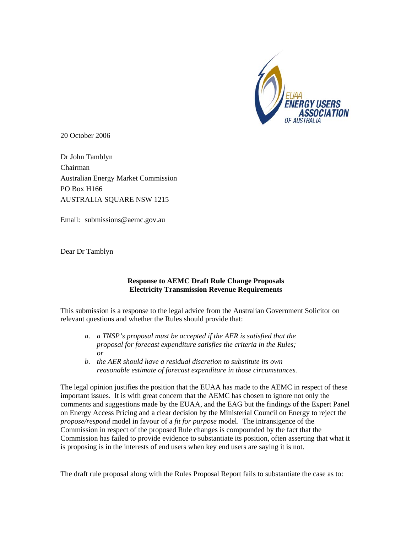

20 October 2006

Dr John Tamblyn Chairman Australian Energy Market Commission PO Box H166 AUSTRALIA SQUARE NSW 1215

Email: submissions@aemc.gov.au

Dear Dr Tamblyn

## **Response to AEMC Draft Rule Change Proposals Electricity Transmission Revenue Requirements**

This submission is a response to the legal advice from the Australian Government Solicitor on relevant questions and whether the Rules should provide that:

- *a. a TNSP's proposal must be accepted if the AER is satisfied that the proposal for forecast expenditure satisfies the criteria in the Rules; or*
- *b. the AER should have a residual discretion to substitute its own reasonable estimate of forecast expenditure in those circumstances.*

The legal opinion justifies the position that the EUAA has made to the AEMC in respect of these important issues. It is with great concern that the AEMC has chosen to ignore not only the comments and suggestions made by the EUAA, and the EAG but the findings of the Expert Panel on Energy Access Pricing and a clear decision by the Ministerial Council on Energy to reject the *propose/respond* model in favour of a *fit for purpose* model. The intransigence of the Commission in respect of the proposed Rule changes is compounded by the fact that the Commission has failed to provide evidence to substantiate its position, often asserting that what it is proposing is in the interests of end users when key end users are saying it is not.

The draft rule proposal along with the Rules Proposal Report fails to substantiate the case as to: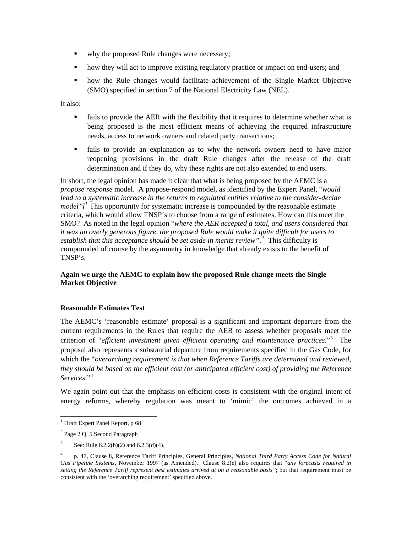- why the proposed Rule changes were necessary;
- how they will act to improve existing regulatory practice or impact on end-users; and
- how the Rule changes would facilitate achievement of the Single Market Objective (SMO) specified in section 7 of the National Electricity Law (NEL).

It also:

- fails to provide the AER with the flexibility that it requires to determine whether what is being proposed is the most efficient means of achieving the required infrastructure needs, access to network owners and related party transactions;
- fails to provide an explanation as to why the network owners need to have major reopening provisions in the draft Rule changes after the release of the draft determination and if they do, why these rights are not also extended to end users.

In short, the legal opinion has made it clear that what is being proposed by the AEMC is a *propose response* model. A propose-respond model, as identified by the Expert Panel, "*would lead to a systematic increase in the returns to regulated entities relative to the consider-decide model*"*l*<sup>[1](#page-1-0)</sup> This opportunity for systematic increase is compounded by the reasonable estimate criteria, which would allow TNSP's to choose from a range of estimates. How can this meet the SMO? As noted in the legal opinion "*where the AER accepted a total, and users considered that it was an overly generous figure, the proposed Rule would make it quite difficult for users to establish that this acceptance should be set aside in merits review".[2](#page-1-1)* This difficulty is compounded of course by the asymmetry in knowledge that already exists to the benefit of TNSP's.

## **Again we urge the AEMC to explain how the proposed Rule change meets the Single Market Objective**

## **Reasonable Estimates Test**

The AEMC's 'reasonable estimate' proposal is a significant and important departure from the current requirements in the Rules that require the AER to assess whether proposals meet the criterion of "*efficient investment given efficient operating and maintenance practices*."[3](#page-1-2) The proposal also represents a substantial departure from requirements specified in the Gas Code, for which the "*overarching requirement is that when Reference Tariffs are determined and reviewed, they should be based on the efficient cost (or anticipated efficient cost) of providing the Reference Services*."[4](#page-1-3)

We again point out that the emphasis on efficient costs is consistent with the original intent of energy reforms, whereby regulation was meant to 'mimic' the outcomes achieved in a

<span id="page-1-0"></span> 1 Draft Expert Panel Report, p 68

<span id="page-1-1"></span><sup>&</sup>lt;sup>2</sup> Page 2 Q. 5 Second Paragraph

<span id="page-1-2"></span><sup>3</sup> See: Rule 6.2.2(b)(2) and 6.2.3(d)(4).

<span id="page-1-3"></span><sup>4</sup> p. 47, Clause 8, Reference Tariff Principles, General Principles, *National Third Party Access Code for Natural Gas Pipeline Systems,* November 1997 (as Amended). Clause 8.2(e) also requires that "*any forecasts required in setting the Reference Tariff represent best estimates arrived at on a reasonable basis"*; but that requirement must be consistent with the 'overarching requirement' specified above.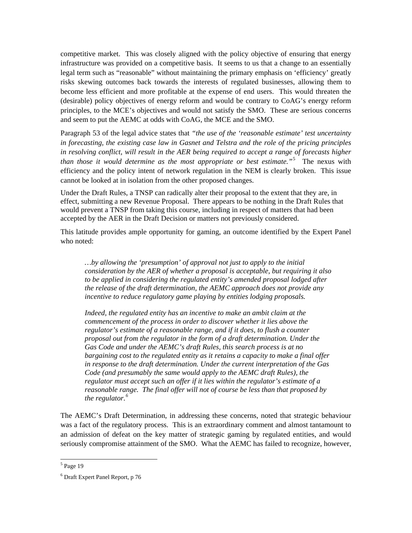competitive market. This was closely aligned with the policy objective of ensuring that energy infrastructure was provided on a competitive basis. It seems to us that a change to an essentially legal term such as "reasonable" without maintaining the primary emphasis on 'efficiency' greatly risks skewing outcomes back towards the interests of regulated businesses, allowing them to become less efficient and more profitable at the expense of end users. This would threaten the (desirable) policy objectives of energy reform and would be contrary to CoAG's energy reform principles, to the MCE's objectives and would not satisfy the SMO. These are serious concerns and seem to put the AEMC at odds with CoAG, the MCE and the SMO.

Paragraph 53 of the legal advice states that *"the use of the 'reasonable estimate' test uncertainty in forecasting, the existing case law in Gasnet and Telstra and the role of the pricing principles in resolving conflict, will result in the AER being required to accept a range of forecasts higher than those it would determine as the most appropriate or best estimate."*[5](#page-2-0) The nexus with efficiency and the policy intent of network regulation in the NEM is clearly broken. This issue cannot be looked at in isolation from the other proposed changes.

Under the Draft Rules, a TNSP can radically alter their proposal to the extent that they are, in effect, submitting a new Revenue Proposal. There appears to be nothing in the Draft Rules that would prevent a TNSP from taking this course, including in respect of matters that had been accepted by the AER in the Draft Decision or matters not previously considered.

This latitude provides ample opportunity for gaming, an outcome identified by the Expert Panel who noted:

*…by allowing the 'presumption' of approval not just to apply to the initial consideration by the AER of whether a proposal is acceptable, but requiring it also to be applied in considering the regulated entity's amended proposal lodged after the release of the draft determination, the AEMC approach does not provide any incentive to reduce regulatory game playing by entities lodging proposals.* 

*Indeed, the regulated entity has an incentive to make an ambit claim at the commencement of the process in order to discover whether it lies above the regulator's estimate of a reasonable range, and if it does, to flush a counter proposal out from the regulator in the form of a draft determination. Under the Gas Code and under the AEMC's draft Rules, this search process is at no bargaining cost to the regulated entity as it retains a capacity to make a final offer in response to the draft determination. Under the current interpretation of the Gas Code (and presumably the same would apply to the AEMC draft Rules), the regulator must accept such an offer if it lies within the regulator's estimate of a reasonable range. The final offer will not of course be less than that proposed by the regulator.[6](#page-2-1)*

The AEMC's Draft Determination, in addressing these concerns, noted that strategic behaviour was a fact of the regulatory process. This is an extraordinary comment and almost tantamount to an admission of defeat on the key matter of strategic gaming by regulated entities, and would seriously compromise attainment of the SMO. What the AEMC has failed to recognize, however,

<span id="page-2-0"></span> 5 Page 19

<span id="page-2-1"></span><sup>6</sup> Draft Expert Panel Report, p 76